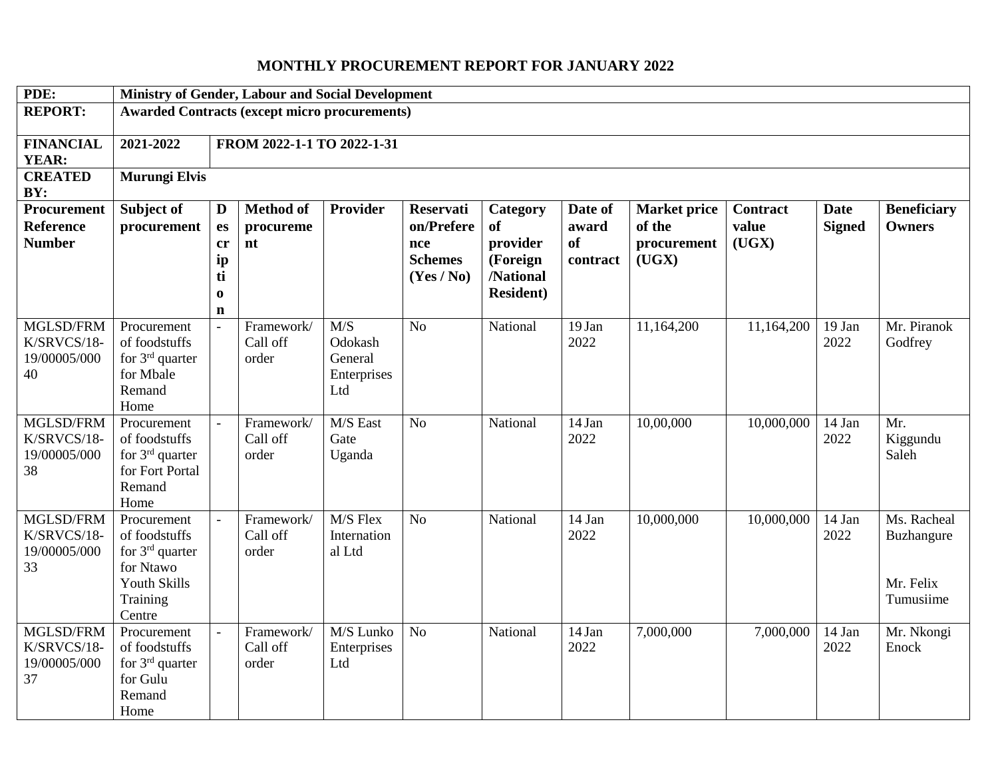## **MONTHLY PROCUREMENT REPORT FOR JANUARY 2022**

| PDE:                     | Ministry of Gender, Labour and Social Development<br><b>Awarded Contracts (except micro procurements)</b> |             |                            |                  |                  |                   |                |                     |                 |                |                    |
|--------------------------|-----------------------------------------------------------------------------------------------------------|-------------|----------------------------|------------------|------------------|-------------------|----------------|---------------------|-----------------|----------------|--------------------|
| <b>REPORT:</b>           |                                                                                                           |             |                            |                  |                  |                   |                |                     |                 |                |                    |
| <b>FINANCIAL</b>         | 2021-2022                                                                                                 |             | FROM 2022-1-1 TO 2022-1-31 |                  |                  |                   |                |                     |                 |                |                    |
| YEAR:                    |                                                                                                           |             |                            |                  |                  |                   |                |                     |                 |                |                    |
| <b>CREATED</b><br>BY:    | Murungi Elvis                                                                                             |             |                            |                  |                  |                   |                |                     |                 |                |                    |
| <b>Procurement</b>       | Subject of                                                                                                | D           | <b>Method</b> of           | Provider         | <b>Reservati</b> | Category          | Date of        | <b>Market price</b> | <b>Contract</b> | <b>Date</b>    | <b>Beneficiary</b> |
| <b>Reference</b>         | procurement                                                                                               | es          | procureme                  |                  | on/Prefere       | <b>of</b>         | award          | of the              | value           | <b>Signed</b>  | <b>Owners</b>      |
| <b>Number</b>            |                                                                                                           | cr          | nt                         |                  | nce              | provider          | of             | procurement         | (UGX)           |                |                    |
|                          |                                                                                                           | ip          |                            |                  | <b>Schemes</b>   | (Foreign          | contract       | (UGX)               |                 |                |                    |
|                          |                                                                                                           | ti          |                            |                  | (Yes / No)       | /National         |                |                     |                 |                |                    |
|                          |                                                                                                           | $\bf{0}$    |                            |                  |                  | <b>Resident</b> ) |                |                     |                 |                |                    |
|                          |                                                                                                           | $\mathbf n$ |                            |                  |                  |                   |                |                     |                 |                |                    |
| MGLSD/FRM                | Procurement                                                                                               |             | Framework/                 | $M/\overline{S}$ | N <sub>o</sub>   | National          | 19 Jan         | 11,164,200          | 11,164,200      | 19 Jan         | Mr. Piranok        |
| K/SRVCS/18-              | of foodstuffs                                                                                             |             | Call off                   | Odokash          |                  |                   | 2022           |                     |                 | 2022           | Godfrey            |
| 19/00005/000             | for $3rd$ quarter                                                                                         |             | order                      | General          |                  |                   |                |                     |                 |                |                    |
| 40                       | for Mbale                                                                                                 |             |                            | Enterprises      |                  |                   |                |                     |                 |                |                    |
|                          | Remand                                                                                                    |             |                            | Ltd              |                  |                   |                |                     |                 |                |                    |
|                          | Home                                                                                                      |             |                            |                  |                  |                   |                |                     |                 |                |                    |
| MGLSD/FRM<br>K/SRVCS/18- | Procurement<br>of foodstuffs                                                                              |             | Framework/<br>Call off     | M/S East<br>Gate | N <sub>o</sub>   | National          | 14 Jan<br>2022 | 10,00,000           | 10,000,000      | 14 Jan<br>2022 | Mr.                |
| 19/00005/000             | for $3rd$ quarter                                                                                         |             | order                      | Uganda           |                  |                   |                |                     |                 |                | Kiggundu<br>Saleh  |
| 38                       | for Fort Portal                                                                                           |             |                            |                  |                  |                   |                |                     |                 |                |                    |
|                          | Remand                                                                                                    |             |                            |                  |                  |                   |                |                     |                 |                |                    |
|                          | Home                                                                                                      |             |                            |                  |                  |                   |                |                     |                 |                |                    |
| MGLSD/FRM                | Procurement                                                                                               |             | Framework/                 | M/S Flex         | N <sub>o</sub>   | National          | 14 Jan         | 10,000,000          | 10,000,000      | 14 Jan         | Ms. Racheal        |
| K/SRVCS/18-              | of foodstuffs                                                                                             |             | Call off                   | Internation      |                  |                   | 2022           |                     |                 | 2022           | Buzhangure         |
| 19/00005/000             | for $3rd$ quarter                                                                                         |             | order                      | al Ltd           |                  |                   |                |                     |                 |                |                    |
| 33                       | for Ntawo                                                                                                 |             |                            |                  |                  |                   |                |                     |                 |                |                    |
|                          | Youth Skills                                                                                              |             |                            |                  |                  |                   |                |                     |                 |                | Mr. Felix          |
|                          | Training                                                                                                  |             |                            |                  |                  |                   |                |                     |                 |                | Tumusiime          |
|                          | Centre                                                                                                    |             |                            |                  |                  |                   |                |                     |                 |                |                    |
| MGLSD/FRM                | Procurement                                                                                               |             | Framework/                 | M/S Lunko        | N <sub>o</sub>   | National          | 14 Jan         | 7,000,000           | 7,000,000       | 14 Jan         | Mr. Nkongi         |
| K/SRVCS/18-              | of foodstuffs                                                                                             |             | Call off                   | Enterprises      |                  |                   | 2022           |                     |                 | 2022           | Enock              |
| 19/00005/000             | for $3rd$ quarter                                                                                         |             | order                      | Ltd              |                  |                   |                |                     |                 |                |                    |
| 37                       | for Gulu<br>Remand                                                                                        |             |                            |                  |                  |                   |                |                     |                 |                |                    |
|                          |                                                                                                           |             |                            |                  |                  |                   |                |                     |                 |                |                    |
|                          | Home                                                                                                      |             |                            |                  |                  |                   |                |                     |                 |                |                    |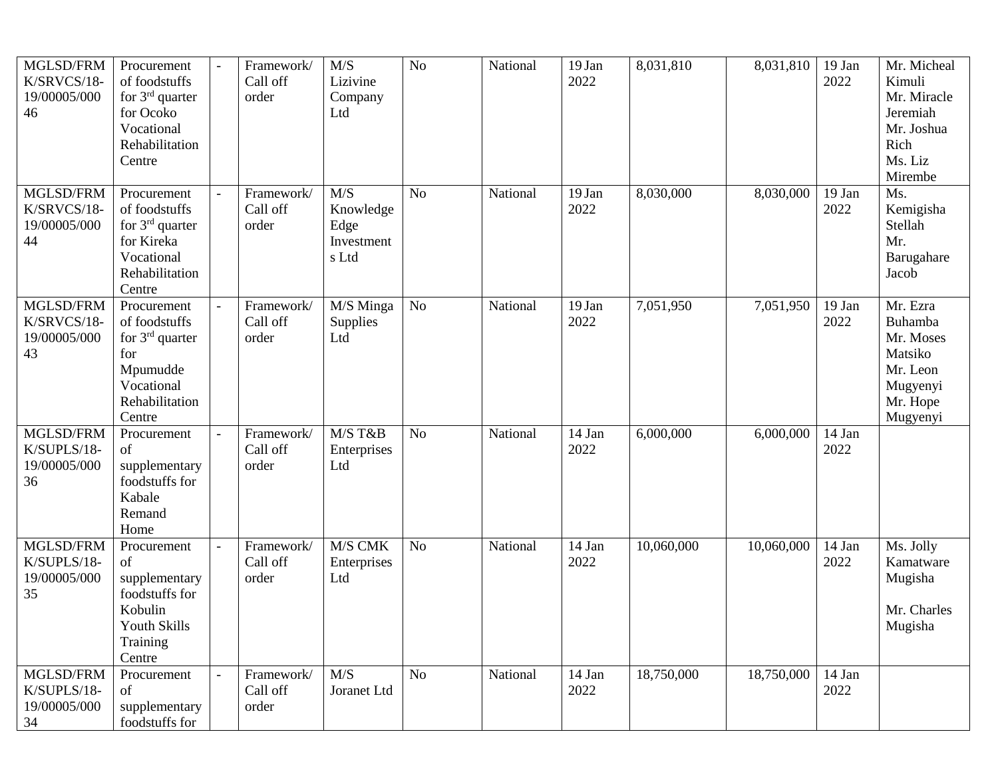| MGLSD/FRM<br>K/SRVCS/18-<br>19/00005/000<br>46 | Procurement<br>of foodstuffs<br>for $3rd$ quarter<br>for Ocoko<br>Vocational<br>Rehabilitation<br>Centre       |                | Framework/<br>Call off<br>order | M/S<br>Lizivine<br>Company<br>Ltd               | N <sub>o</sub> | National | 19 Jan<br>2022 | 8,031,810  | 8,031,810  | 19 Jan<br>2022 | Mr. Micheal<br>Kimuli<br>Mr. Miracle<br>Jeremiah<br>Mr. Joshua<br>Rich<br>Ms. Liz<br>Mirembe       |
|------------------------------------------------|----------------------------------------------------------------------------------------------------------------|----------------|---------------------------------|-------------------------------------------------|----------------|----------|----------------|------------|------------|----------------|----------------------------------------------------------------------------------------------------|
| MGLSD/FRM<br>K/SRVCS/18-<br>19/00005/000<br>44 | Procurement<br>of foodstuffs<br>for $3rd$ quarter<br>for Kireka<br>Vocational<br>Rehabilitation<br>Centre      | $\blacksquare$ | Framework/<br>Call off<br>order | M/S<br>Knowledge<br>Edge<br>Investment<br>s Ltd | N <sub>o</sub> | National | 19 Jan<br>2022 | 8,030,000  | 8,030,000  | 19 Jan<br>2022 | Ms.<br>Kemigisha<br>Stellah<br>Mr.<br>Barugahare<br>Jacob                                          |
| MGLSD/FRM<br>K/SRVCS/18-<br>19/00005/000<br>43 | Procurement<br>of foodstuffs<br>for $3rd$ quarter<br>for<br>Mpumudde<br>Vocational<br>Rehabilitation<br>Centre |                | Framework/<br>Call off<br>order | M/S Minga<br>Supplies<br>Ltd                    | N <sub>o</sub> | National | 19 Jan<br>2022 | 7,051,950  | 7,051,950  | 19 Jan<br>2022 | Mr. Ezra<br><b>Buhamba</b><br>Mr. Moses<br>Matsiko<br>Mr. Leon<br>Mugyenyi<br>Mr. Hope<br>Mugyenyi |
| MGLSD/FRM<br>K/SUPLS/18-<br>19/00005/000<br>36 | Procurement<br>of<br>supplementary<br>foodstuffs for<br>Kabale<br>Remand<br>Home                               |                | Framework/<br>Call off<br>order | M/S T&B<br>Enterprises<br>Ltd                   | N <sub>o</sub> | National | 14 Jan<br>2022 | 6,000,000  | 6,000,000  | 14 Jan<br>2022 |                                                                                                    |
| MGLSD/FRM<br>K/SUPLS/18-<br>19/00005/000<br>35 | Procurement<br>of<br>supplementary<br>foodstuffs for<br>Kobulin<br>Youth Skills<br>Training<br>Centre          |                | Framework/<br>Call off<br>order | M/S CMK<br>Enterprises<br>Ltd                   | N <sub>o</sub> | National | 14 Jan<br>2022 | 10,060,000 | 10,060,000 | 14 Jan<br>2022 | Ms. Jolly<br>Kamatware<br>Mugisha<br>Mr. Charles<br>Mugisha                                        |
| MGLSD/FRM<br>K/SUPLS/18-<br>19/00005/000<br>34 | Procurement<br>of<br>supplementary<br>foodstuffs for                                                           |                | Framework/<br>Call off<br>order | M/S<br>Joranet Ltd                              | N <sub>o</sub> | National | 14 Jan<br>2022 | 18,750,000 | 18,750,000 | 14 Jan<br>2022 |                                                                                                    |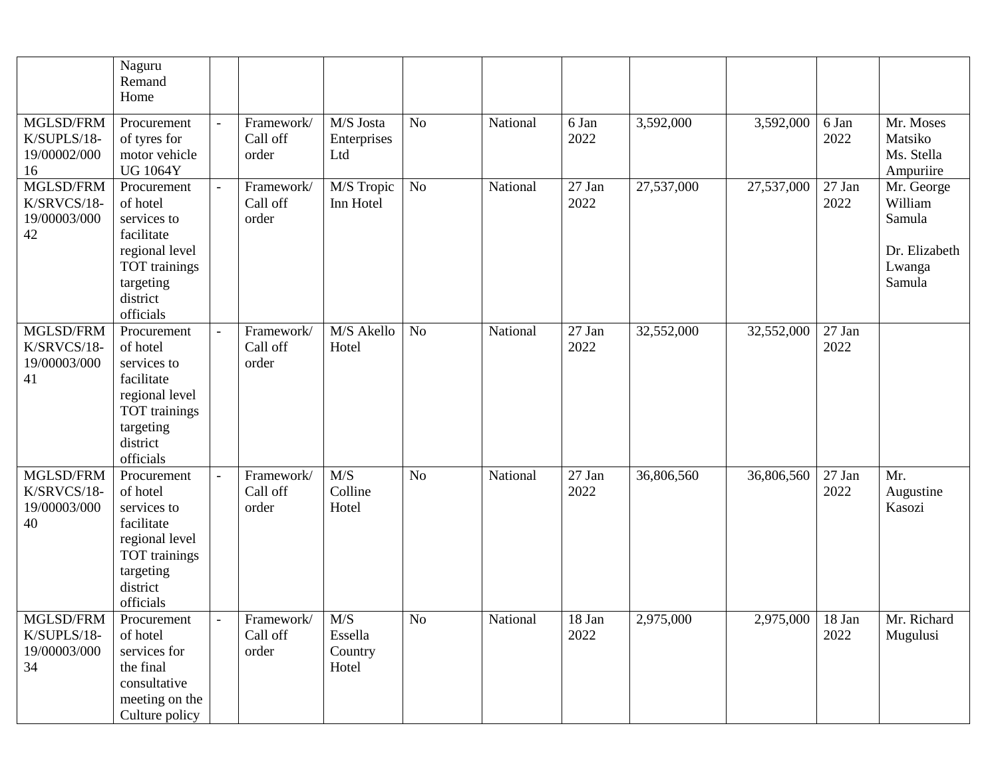|                                                | Naguru<br>Remand<br>Home                                                                                                             |       |                                 |                                    |                |          |                |            |            |                |                                                                      |
|------------------------------------------------|--------------------------------------------------------------------------------------------------------------------------------------|-------|---------------------------------|------------------------------------|----------------|----------|----------------|------------|------------|----------------|----------------------------------------------------------------------|
| MGLSD/FRM<br>K/SUPLS/18-<br>19/00002/000<br>16 | Procurement<br>of tyres for<br>motor vehicle<br><b>UG 1064Y</b>                                                                      |       | Framework/<br>Call off<br>order | M/S Josta<br>Enterprises<br>Ltd    | N <sub>o</sub> | National | 6 Jan<br>2022  | 3,592,000  | 3,592,000  | 6 Jan<br>2022  | Mr. Moses<br>Matsiko<br>Ms. Stella<br>Ampuriire                      |
| MGLSD/FRM<br>K/SRVCS/18-<br>19/00003/000<br>42 | Procurement<br>of hotel<br>services to<br>facilitate<br>regional level<br>TOT trainings<br>targeting<br>district<br>officials        | $ \,$ | Framework/<br>Call off<br>order | M/S Tropic<br>Inn Hotel            | N <sub>o</sub> | National | 27 Jan<br>2022 | 27,537,000 | 27,537,000 | 27 Jan<br>2022 | Mr. George<br>William<br>Samula<br>Dr. Elizabeth<br>Lwanga<br>Samula |
| MGLSD/FRM<br>K/SRVCS/18-<br>19/00003/000<br>41 | Procurement<br>of hotel<br>services to<br>facilitate<br>regional level<br><b>TOT</b> trainings<br>targeting<br>district<br>officials |       | Framework/<br>Call off<br>order | M/S Akello<br>Hotel                | N <sub>o</sub> | National | 27 Jan<br>2022 | 32,552,000 | 32,552,000 | 27 Jan<br>2022 |                                                                      |
| MGLSD/FRM<br>K/SRVCS/18-<br>19/00003/000<br>40 | Procurement<br>of hotel<br>services to<br>facilitate<br>regional level<br>TOT trainings<br>targeting<br>district<br>officials        |       | Framework/<br>Call off<br>order | M/S<br>Colline<br>Hotel            | N <sub>o</sub> | National | 27 Jan<br>2022 | 36,806,560 | 36,806,560 | 27 Jan<br>2022 | Mr.<br>Augustine<br>Kasozi                                           |
| MGLSD/FRM<br>K/SUPLS/18-<br>19/00003/000<br>34 | Procurement<br>of hotel<br>services for<br>the final<br>consultative<br>meeting on the<br>Culture policy                             |       | Framework/<br>Call off<br>order | M/S<br>Essella<br>Country<br>Hotel | $\rm No$       | National | 18 Jan<br>2022 | 2,975,000  | 2,975,000  | 18 Jan<br>2022 | Mr. Richard<br>Mugulusi                                              |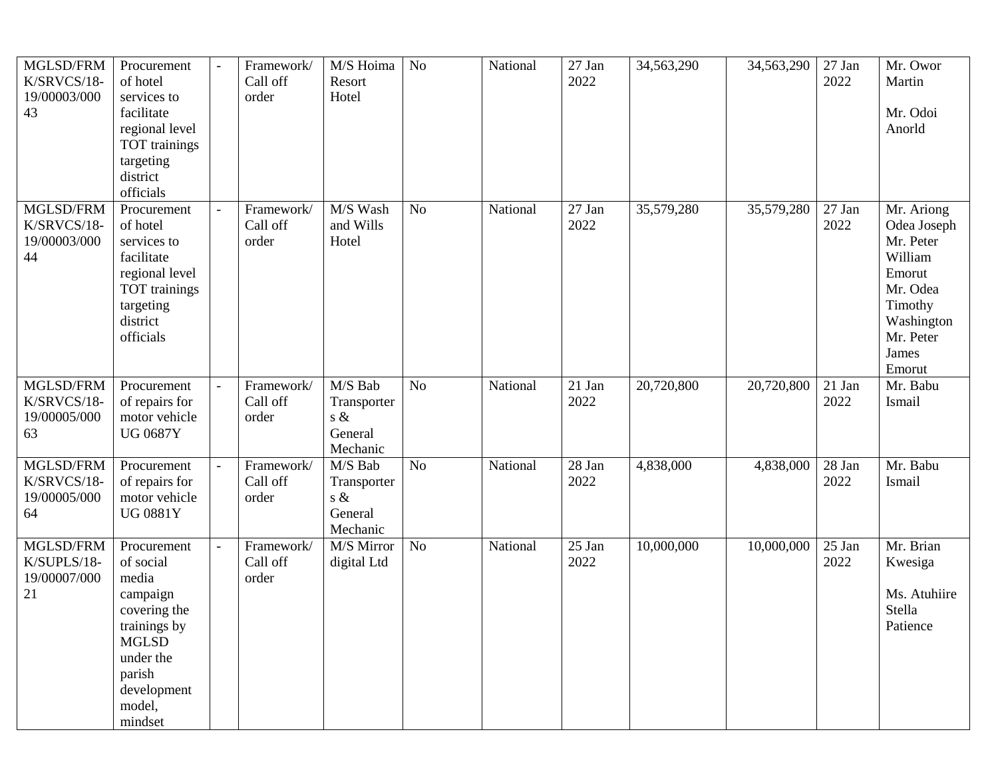| MGLSD/FRM<br>K/SRVCS/18-<br>19/00003/000<br>43 | Procurement<br>of hotel<br>services to<br>facilitate<br>regional level<br>TOT trainings<br>targeting<br>district<br>officials                            |                | Framework/<br>Call off<br>order | M/S Hoima<br>Resort<br>Hotel                            | N <sub>o</sub> | National | 27 Jan<br>2022              | 34,563,290 | 34,563,290 | 27 Jan<br>2022              | Mr. Owor<br>Martin<br>Mr. Odoi<br>Anorld                                                                                         |
|------------------------------------------------|----------------------------------------------------------------------------------------------------------------------------------------------------------|----------------|---------------------------------|---------------------------------------------------------|----------------|----------|-----------------------------|------------|------------|-----------------------------|----------------------------------------------------------------------------------------------------------------------------------|
| MGLSD/FRM<br>K/SRVCS/18-<br>19/00003/000<br>44 | Procurement<br>of hotel<br>services to<br>facilitate<br>regional level<br>TOT trainings<br>targeting<br>district<br>officials                            | $\blacksquare$ | Framework/<br>Call off<br>order | M/S Wash<br>and Wills<br>Hotel                          | N <sub>o</sub> | National | 27 Jan<br>2022              | 35,579,280 | 35,579,280 | 27 Jan<br>2022              | Mr. Ariong<br>Odea Joseph<br>Mr. Peter<br>William<br>Emorut<br>Mr. Odea<br>Timothy<br>Washington<br>Mr. Peter<br>James<br>Emorut |
| MGLSD/FRM<br>K/SRVCS/18-<br>19/00005/000<br>63 | Procurement<br>of repairs for<br>motor vehicle<br><b>UG 0687Y</b>                                                                                        |                | Framework/<br>Call off<br>order | M/S Bab<br>Transporter<br>s $\&$<br>General<br>Mechanic | N <sub>o</sub> | National | $\overline{2}1$ Jan<br>2022 | 20,720,800 | 20,720,800 | $\overline{2}1$ Jan<br>2022 | Mr. Babu<br>Ismail                                                                                                               |
| MGLSD/FRM<br>K/SRVCS/18-<br>19/00005/000<br>64 | Procurement<br>of repairs for<br>motor vehicle<br><b>UG 0881Y</b>                                                                                        |                | Framework/<br>Call off<br>order | M/S Bab<br>Transporter<br>s &<br>General<br>Mechanic    | N <sub>o</sub> | National | 28 Jan<br>2022              | 4,838,000  | 4,838,000  | 28 Jan<br>2022              | Mr. Babu<br>Ismail                                                                                                               |
| MGLSD/FRM<br>K/SUPLS/18-<br>19/00007/000<br>21 | Procurement<br>of social<br>media<br>campaign<br>covering the<br>trainings by<br><b>MGLSD</b><br>under the<br>parish<br>development<br>model,<br>mindset |                | Framework/<br>Call off<br>order | M/S Mirror<br>digital Ltd                               | N <sub>o</sub> | National | 25 Jan<br>2022              | 10,000,000 | 10,000,000 | 25 Jan<br>2022              | Mr. Brian<br>Kwesiga<br>Ms. Atuhiire<br>Stella<br>Patience                                                                       |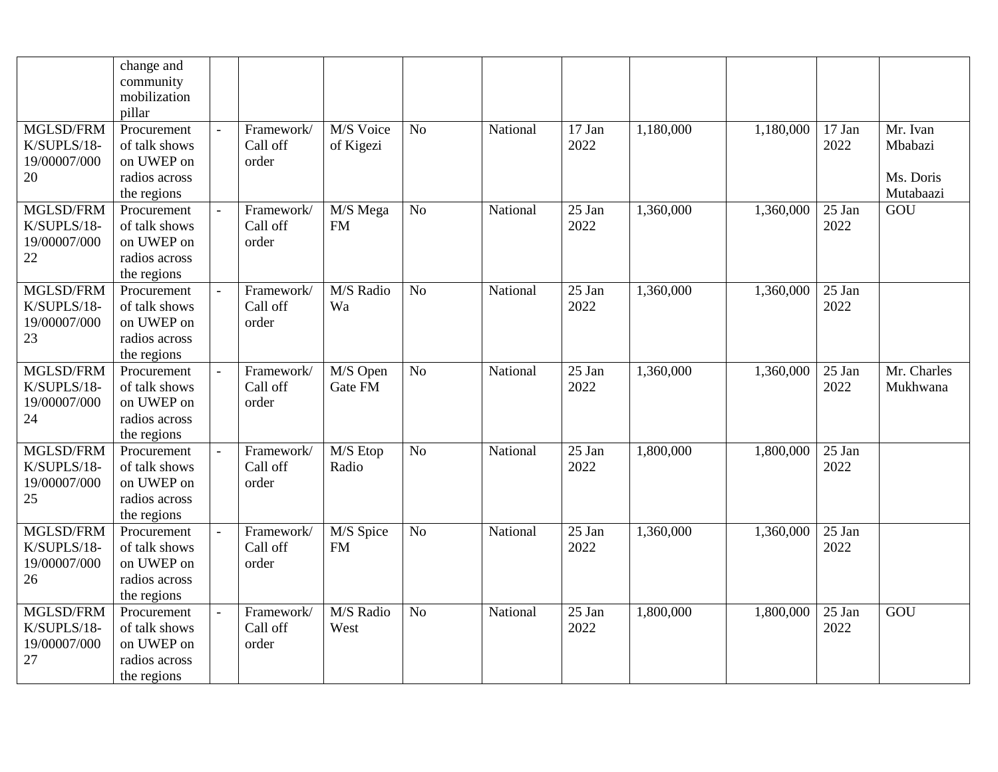|                                                | change and<br>community<br>mobilization<br>pillar                          |                                 |                        |                |          |                  |           |           |                  |                                               |
|------------------------------------------------|----------------------------------------------------------------------------|---------------------------------|------------------------|----------------|----------|------------------|-----------|-----------|------------------|-----------------------------------------------|
| MGLSD/FRM<br>K/SUPLS/18-<br>19/00007/000<br>20 | Procurement<br>of talk shows<br>on UWEP on<br>radios across<br>the regions | Framework/<br>Call off<br>order | M/S Voice<br>of Kigezi | N <sub>o</sub> | National | 17 Jan<br>2022   | 1,180,000 | 1,180,000 | 17 Jan<br>2022   | Mr. Ivan<br>Mbabazi<br>Ms. Doris<br>Mutabaazi |
| MGLSD/FRM<br>K/SUPLS/18-<br>19/00007/000<br>22 | Procurement<br>of talk shows<br>on UWEP on<br>radios across<br>the regions | Framework/<br>Call off<br>order | M/S Mega<br><b>FM</b>  | No             | National | 25 Jan<br>2022   | 1,360,000 | 1,360,000 | 25 Jan<br>2022   | GOU                                           |
| MGLSD/FRM<br>K/SUPLS/18-<br>19/00007/000<br>23 | Procurement<br>of talk shows<br>on UWEP on<br>radios across<br>the regions | Framework/<br>Call off<br>order | M/S Radio<br>Wa        | N <sub>o</sub> | National | $25$ Jan<br>2022 | 1,360,000 | 1,360,000 | $25$ Jan<br>2022 |                                               |
| MGLSD/FRM<br>K/SUPLS/18-<br>19/00007/000<br>24 | Procurement<br>of talk shows<br>on UWEP on<br>radios across<br>the regions | Framework/<br>Call off<br>order | M/S Open<br>Gate FM    | N <sub>o</sub> | National | 25 Jan<br>2022   | 1,360,000 | 1,360,000 | 25 Jan<br>2022   | Mr. Charles<br>Mukhwana                       |
| MGLSD/FRM<br>K/SUPLS/18-<br>19/00007/000<br>25 | Procurement<br>of talk shows<br>on UWEP on<br>radios across<br>the regions | Framework/<br>Call off<br>order | M/S Etop<br>Radio      | N <sub>o</sub> | National | 25 Jan<br>2022   | 1,800,000 | 1,800,000 | $25$ Jan<br>2022 |                                               |
| MGLSD/FRM<br>K/SUPLS/18-<br>19/00007/000<br>26 | Procurement<br>of talk shows<br>on UWEP on<br>radios across<br>the regions | Framework/<br>Call off<br>order | M/S Spice<br><b>FM</b> | N <sub>o</sub> | National | $25$ Jan<br>2022 | 1,360,000 | 1,360,000 | $25$ Jan<br>2022 |                                               |
| MGLSD/FRM<br>K/SUPLS/18-<br>19/00007/000<br>27 | Procurement<br>of talk shows<br>on UWEP on<br>radios across<br>the regions | Framework/<br>Call off<br>order | M/S Radio<br>West      | N <sub>o</sub> | National | 25 Jan<br>2022   | 1,800,000 | 1,800,000 | 25 Jan<br>2022   | GOU                                           |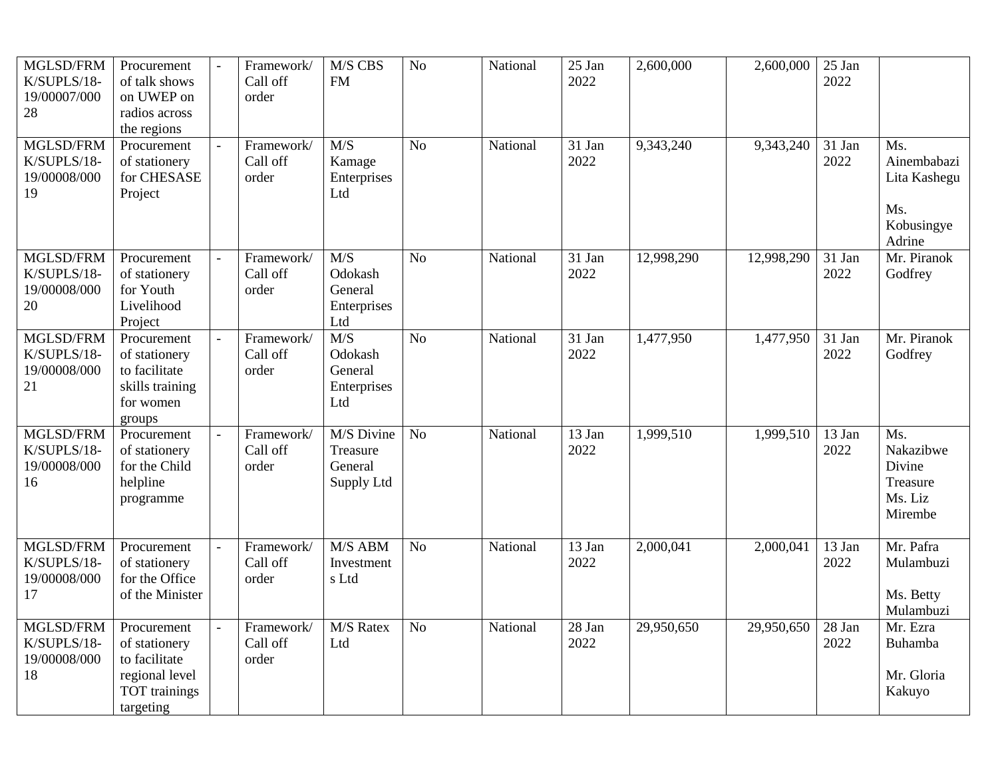| MGLSD/FRM<br>K/SUPLS/18-<br>19/00007/000<br>28 | Procurement<br>of talk shows<br>on UWEP on<br>radios across<br>the regions                    | Framework/<br>Call off<br>order | M/S CBS<br><b>FM</b>                                         | N <sub>o</sub> | National | 25 Jan<br>2022              | 2,600,000  | 2,600,000  | 25 Jan<br>2022              |                                                                                   |
|------------------------------------------------|-----------------------------------------------------------------------------------------------|---------------------------------|--------------------------------------------------------------|----------------|----------|-----------------------------|------------|------------|-----------------------------|-----------------------------------------------------------------------------------|
| MGLSD/FRM<br>K/SUPLS/18-<br>19/00008/000<br>19 | Procurement<br>of stationery<br>for CHESASE<br>Project                                        | Framework/<br>Call off<br>order | M/S<br>Kamage<br>Enterprises<br>Ltd                          | N <sub>o</sub> | National | 31 Jan<br>2022              | 9,343,240  | 9,343,240  | 31 Jan<br>2022              | Ms.<br>Ainembabazi<br>Lita Kashegu<br>Ms.<br>Kobusingye<br>Adrine                 |
| MGLSD/FRM<br>K/SUPLS/18-<br>19/00008/000<br>20 | Procurement<br>of stationery<br>for Youth<br>Livelihood<br>Project                            | Framework/<br>Call off<br>order | $\overline{M/S}$<br>Odokash<br>General<br>Enterprises<br>Ltd | N <sub>o</sub> | National | $\overline{31}$ Jan<br>2022 | 12,998,290 | 12,998,290 | $\overline{3}1$ Jan<br>2022 | Mr. Piranok<br>Godfrey                                                            |
| MGLSD/FRM<br>K/SUPLS/18-<br>19/00008/000<br>21 | Procurement<br>of stationery<br>to facilitate<br>skills training<br>for women<br>groups       | Framework/<br>Call off<br>order | M/S<br>Odokash<br>General<br>Enterprises<br>Ltd              | No             | National | 31 Jan<br>2022              | 1,477,950  | 1,477,950  | 31 Jan<br>2022              | Mr. Piranok<br>Godfrey                                                            |
| MGLSD/FRM<br>K/SUPLS/18-<br>19/00008/000<br>16 | Procurement<br>of stationery<br>for the Child<br>helpline<br>programme                        | Framework/<br>Call off<br>order | <b>M/S Divine</b><br>Treasure<br>General<br>Supply Ltd       | No             | National | 13 Jan<br>2022              | 1,999,510  | 1,999,510  | 13 Jan<br>2022              | $\overline{\text{Ms}}$ .<br>Nakazibwe<br>Divine<br>Treasure<br>Ms. Liz<br>Mirembe |
| MGLSD/FRM<br>K/SUPLS/18-<br>19/00008/000<br>17 | Procurement<br>of stationery<br>for the Office<br>of the Minister                             | Framework/<br>Call off<br>order | <b>M/S ABM</b><br>Investment<br>s Ltd                        | N <sub>o</sub> | National | 13 Jan<br>2022              | 2,000,041  | 2,000,041  | 13 Jan<br>2022              | Mr. Pafra<br>Mulambuzi<br>Ms. Betty<br>Mulambuzi                                  |
| MGLSD/FRM<br>K/SUPLS/18-<br>19/00008/000<br>18 | Procurement<br>of stationery<br>to facilitate<br>regional level<br>TOT trainings<br>targeting | Framework/<br>Call off<br>order | M/S Ratex<br>Ltd                                             | No             | National | 28 Jan<br>2022              | 29,950,650 | 29,950,650 | 28 Jan<br>2022              | Mr. Ezra<br>Buhamba<br>Mr. Gloria<br>Kakuyo                                       |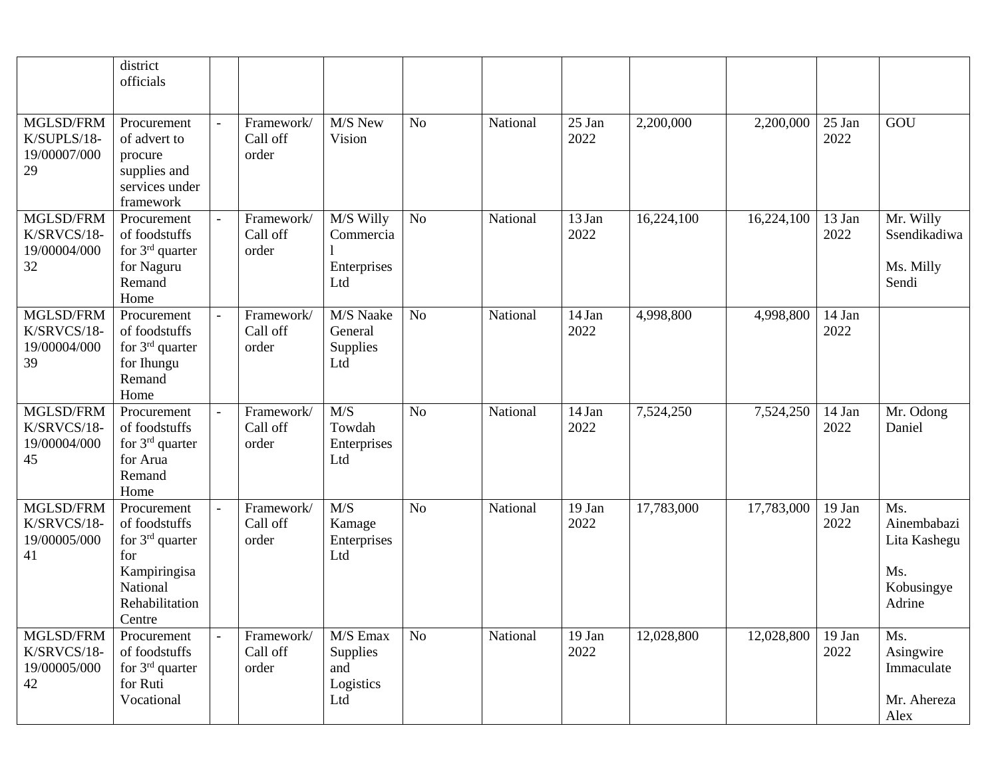|                                                | district<br>officials                                                                                            |                                 |                                                 |                |          |                |            |            |                |                                                                   |
|------------------------------------------------|------------------------------------------------------------------------------------------------------------------|---------------------------------|-------------------------------------------------|----------------|----------|----------------|------------|------------|----------------|-------------------------------------------------------------------|
| MGLSD/FRM<br>K/SUPLS/18-<br>19/00007/000<br>29 | Procurement<br>of advert to<br>procure<br>supplies and<br>services under<br>framework                            | Framework/<br>Call off<br>order | M/S New<br>Vision                               | N <sub>o</sub> | National | 25 Jan<br>2022 | 2,200,000  | 2,200,000  | 25 Jan<br>2022 | GOU                                                               |
| MGLSD/FRM<br>K/SRVCS/18-<br>19/00004/000<br>32 | Procurement<br>of foodstuffs<br>for $3rd$ quarter<br>for Naguru<br>Remand<br>Home                                | Framework/<br>Call off<br>order | M/S Willy<br>Commercia<br>Enterprises<br>Ltd    | N <sub>o</sub> | National | 13 Jan<br>2022 | 16,224,100 | 16,224,100 | 13 Jan<br>2022 | Mr. Willy<br>Ssendikadiwa<br>Ms. Milly<br>Sendi                   |
| MGLSD/FRM<br>K/SRVCS/18-<br>19/00004/000<br>39 | Procurement<br>of foodstuffs<br>for $3rd$ quarter<br>for Ihungu<br>Remand<br>Home                                | Framework/<br>Call off<br>order | M/S Naake<br>General<br>Supplies<br>Ltd         | N <sub>o</sub> | National | 14 Jan<br>2022 | 4,998,800  | 4,998,800  | 14 Jan<br>2022 |                                                                   |
| MGLSD/FRM<br>K/SRVCS/18-<br>19/00004/000<br>45 | Procurement<br>of foodstuffs<br>for $3rd$ quarter<br>for Arua<br>Remand<br>Home                                  | Framework/<br>Call off<br>order | M/S<br>Towdah<br>Enterprises<br>Ltd             | N <sub>o</sub> | National | 14 Jan<br>2022 | 7,524,250  | 7,524,250  | 14 Jan<br>2022 | Mr. Odong<br>Daniel                                               |
| MGLSD/FRM<br>K/SRVCS/18-<br>19/00005/000<br>41 | Procurement<br>of foodstuffs<br>for $3rd$ quarter<br>for<br>Kampiringisa<br>National<br>Rehabilitation<br>Centre | Framework/<br>Call off<br>order | M/S<br>Kamage<br>Enterprises<br>Ltd             | N <sub>o</sub> | National | 19 Jan<br>2022 | 17,783,000 | 17,783,000 | 19 Jan<br>2022 | Ms.<br>Ainembabazi<br>Lita Kashegu<br>Ms.<br>Kobusingye<br>Adrine |
| MGLSD/FRM<br>K/SRVCS/18-<br>19/00005/000<br>42 | Procurement<br>of foodstuffs<br>for $3rd$ quarter<br>for Ruti<br>Vocational                                      | Framework/<br>Call off<br>order | M/S Emax<br>Supplies<br>and<br>Logistics<br>Ltd | No             | National | 19 Jan<br>2022 | 12,028,800 | 12,028,800 | 19 Jan<br>2022 | Ms.<br>Asingwire<br>Immaculate<br>Mr. Ahereza<br>Alex             |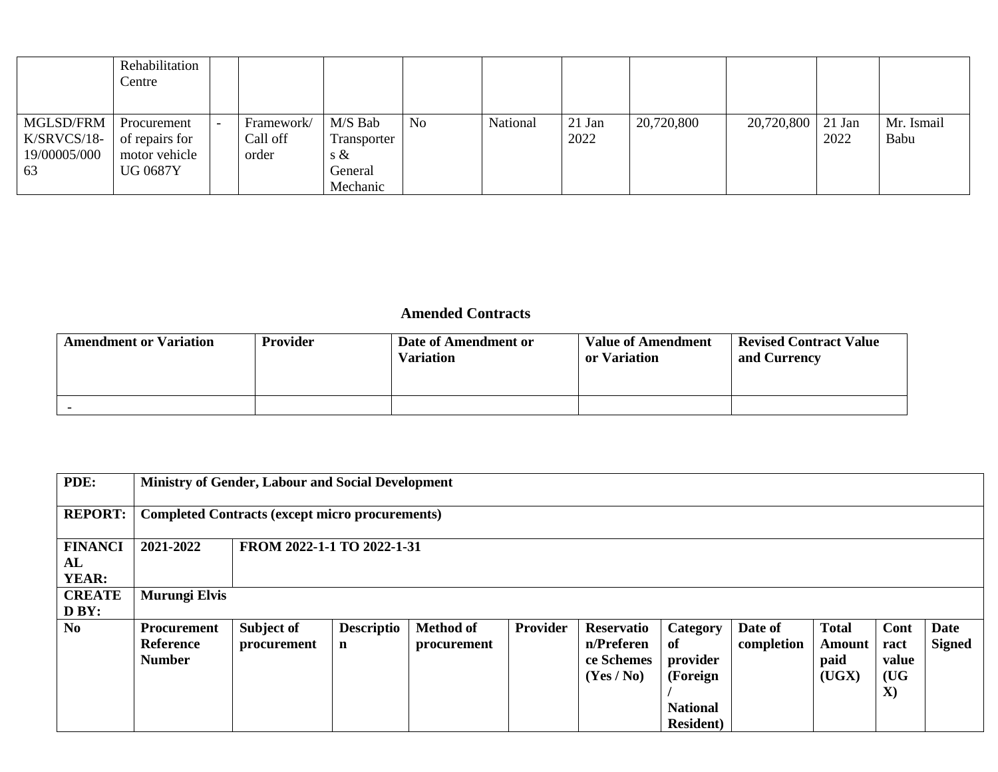|              | Rehabilitation<br>Centre |            |             |                |          |        |            |            |          |            |
|--------------|--------------------------|------------|-------------|----------------|----------|--------|------------|------------|----------|------------|
|              |                          |            |             |                |          |        |            |            |          |            |
| MGLSD/FRM    | Procurement              | Framework/ | M/S Bab     | N <sub>0</sub> | National | 21 Jan | 20,720,800 | 20,720,800 | $21$ Jan | Mr. Ismail |
| K/SRVCS/18-  | of repairs for           | Call off   | Transporter |                |          | 2022   |            |            | 2022     | Babu       |
| 19/00005/000 | motor vehicle            | order      | s $\&$      |                |          |        |            |            |          |            |
| 63           | <b>UG 0687Y</b>          |            | General     |                |          |        |            |            |          |            |
|              |                          |            | Mechanic    |                |          |        |            |            |          |            |

## **Amended Contracts**

| <b>Amendment or Variation</b> | <b>Provider</b> | Date of Amendment or<br>Variation | <b>Value of Amendment</b><br>or Variation | <b>Revised Contract Value</b><br>and Currency |
|-------------------------------|-----------------|-----------------------------------|-------------------------------------------|-----------------------------------------------|
|                               |                 |                                   |                                           |                                               |

| PDE:                          | <b>Ministry of Gender, Labour and Social Development</b> |                            |                                  |                                 |          |                                                             |                                                                                |                       |                                         |                                               |                       |
|-------------------------------|----------------------------------------------------------|----------------------------|----------------------------------|---------------------------------|----------|-------------------------------------------------------------|--------------------------------------------------------------------------------|-----------------------|-----------------------------------------|-----------------------------------------------|-----------------------|
| <b>REPORT:</b>                | <b>Completed Contracts (except micro procurements)</b>   |                            |                                  |                                 |          |                                                             |                                                                                |                       |                                         |                                               |                       |
| <b>FINANCI</b><br>AL<br>YEAR: | 2021-2022                                                | FROM 2022-1-1 TO 2022-1-31 |                                  |                                 |          |                                                             |                                                                                |                       |                                         |                                               |                       |
| <b>CREATE</b><br>D BY:        | Murungi Elvis                                            |                            |                                  |                                 |          |                                                             |                                                                                |                       |                                         |                                               |                       |
| $\mathbf{N}\mathbf{0}$        | Procurement<br><b>Reference</b><br><b>Number</b>         | Subject of<br>procurement  | <b>Descriptio</b><br>$\mathbf n$ | <b>Method of</b><br>procurement | Provider | <b>Reservatio</b><br>n/Preferen<br>ce Schemes<br>(Yes / No) | Category<br>of<br>provider<br>(Foreign<br><b>National</b><br><b>Resident</b> ) | Date of<br>completion | <b>Total</b><br>Amount<br>paid<br>(UGX) | Cont<br>ract<br>value<br>(UG)<br>$\mathbf{X}$ | Date<br><b>Signed</b> |